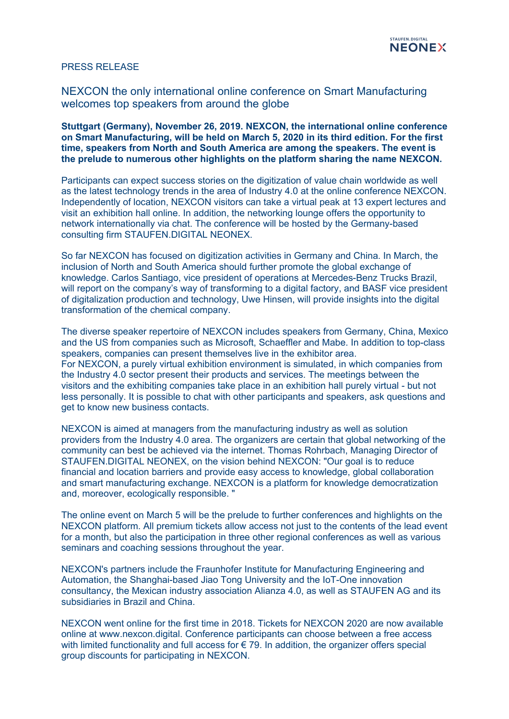

## PRESS RELEASE

NEXCON the only international online conference on Smart Manufacturing welcomes top speakers from around the globe

**Stuttgart (Germany), November 26, 2019. NEXCON, the international online conference on Smart Manufacturing, will be held on March 5, 2020 in its third edition. For the first time, speakers from North and South America are among the speakers. The event is the prelude to numerous other highlights on the platform sharing the name NEXCON.**

Participants can expect success stories on the digitization of value chain worldwide as well as the latest technology trends in the area of Industry 4.0 at the online conference NEXCON. Independently of location, NEXCON visitors can take a virtual peak at 13 expert lectures and visit an exhibition hall online. In addition, the networking lounge offers the opportunity to network internationally via chat. The conference will be hosted by the Germany-based consulting firm STAUFEN.DIGITAL NEONEX.

So far NEXCON has focused on digitization activities in Germany and China. In March, the inclusion of North and South America should further promote the global exchange of knowledge. Carlos Santiago, vice president of operations at Mercedes-Benz Trucks Brazil, will report on the company's way of transforming to a digital factory, and BASF vice president of digitalization production and technology, Uwe Hinsen, will provide insights into the digital transformation of the chemical company.

The diverse speaker repertoire of NEXCON includes speakers from Germany, China, Mexico and the US from companies such as Microsoft, Schaeffler and Mabe. In addition to top-class speakers, companies can present themselves live in the exhibitor area. For NEXCON, a purely virtual exhibition environment is simulated, in which companies from the Industry 4.0 sector present their products and services. The meetings between the visitors and the exhibiting companies take place in an exhibition hall purely virtual - but not less personally. It is possible to chat with other participants and speakers, ask questions and get to know new business contacts.

NEXCON is aimed at managers from the manufacturing industry as well as solution providers from the Industry 4.0 area. The organizers are certain that global networking of the community can best be achieved via the internet. Thomas Rohrbach, Managing Director of STAUFEN.DIGITAL NEONEX, on the vision behind NEXCON: "Our goal is to reduce financial and location barriers and provide easy access to knowledge, global collaboration and smart manufacturing exchange. NEXCON is a platform for knowledge democratization and, moreover, ecologically responsible. "

The online event on March 5 will be the prelude to further conferences and highlights on the NEXCON platform. All premium tickets allow access not just to the contents of the lead event for a month, but also the participation in three other regional conferences as well as various seminars and coaching sessions throughout the year.

NEXCON's partners include the Fraunhofer Institute for Manufacturing Engineering and Automation, the Shanghai-based Jiao Tong University and the IoT-One innovation consultancy, the Mexican industry association Alianza 4.0, as well as STAUFEN AG and its subsidiaries in Brazil and China.

NEXCON went online for the first time in 2018. Tickets for NEXCON 2020 are now available online at www.nexcon.digital. Conference participants can choose between a free access with limited functionality and full access for  $\epsilon$  79. In addition, the organizer offers special group discounts for participating in NEXCON.